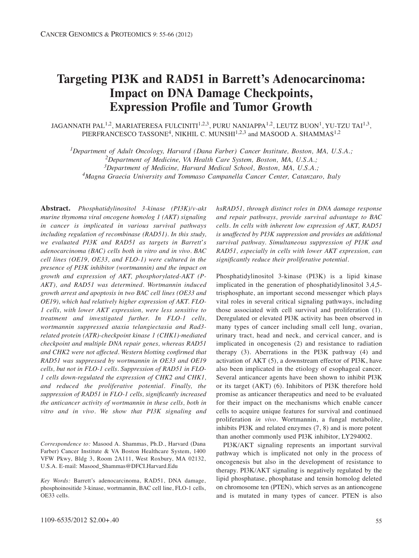# **Targeting PI3K and RAD51 in Barrett's Adenocarcinoma: Impact on DNA Damage Checkpoints, Expression Profile and Tumor Growth**

JAGANNATH PAL<sup>1,2</sup>, MARIATERESA FULCINITI<sup>1,2,3</sup>, PURU NANJAPPA<sup>1,2</sup>, LEUTZ BUON<sup>1</sup>, YU-TZU TAI<sup>1,3</sup>, PIERFRANCESCO TASSONE<sup>4</sup>, NIKHIL C. MUNSHI<sup>1,2,3</sup> and MASOOD A. SHAMMAS<sup>1,2</sup>

*1Department of Adult Oncology, Harvard (Dana Farber) Cancer Institute, Boston, MA, U.S.A.;* 

*2Department of Medicine, VA Health Care System, Boston, MA, U.S.A.;* 

*3Department of Medicine, Harvard Medical School, Boston, MA, U.S.A.;* 

*4Magna Graecia University and Tommaso Campanella Cancer Center, Catanzaro, Italy*

**Abstract.** *Phosphatidylinositol 3-kinase (PI3K)/v-akt murine thymoma viral oncogene homolog 1 (AKT) signaling in cancer is implicated in various survival pathways including regulation of recombinase (RAD51). In this study, we evaluated PI3K and RAD51 as targets in Barrett*'*s adenocarcinoma (BAC) cells both in vitro and in vivo. BAC cell lines (OE19, OE33, and FLO-1) were cultured in the presence of PI3K inhibitor (wortmannin) and the impact on growth and expression of AKT, phosphorylated-AKT (P-AKT), and RAD51 was determined. Wortmannin induced growth arrest and apoptosis in two BAC cell lines (OE33 and OE19), which had relatively higher expression of AKT. FLO-1 cells, with lower AKT expression, were less sensitive to treatment and investigated further. In FLO-1 cells, wortmannin suppressed ataxia telangiectasia and Rad3 related protein (ATR)-checkpoint kinase 1 (CHK1)-mediated checkpoint and multiple DNA repair genes, whereas RAD51 and CHK2 were not affected. Western blotting confirmed that RAD51 was suppressed by wortmannin in OE33 and OE19 cells, but not in FLO-1 cells. Suppression of RAD51 in FLO-1 cells down-regulated the expression of CHK2 and CHK1, and reduced the proliferative potential. Finally, the suppression of RAD51 in FLO-1 cells, significantly increased the anticancer activity of wortmannin in these cells, both in vitro and in vivo. We show that PI3K signaling and*

*Correspondence to:* Masood A. Shammas, Ph.D., Harvard (Dana Farber) Cancer Institute & VA Boston Healthcare System, 1400 VFW Pkwy, Bldg 3, Room 2A111, West Roxbury, MA 02132, U.S.A. E-mail: Masood\_Shammas@DFCI.Harvard.Edu

*Key Words:* Barrett's adenocarcinoma, RAD51, DNA damage, phosphoinositide 3-kinase, wortmannin, BAC cell line, FLO-1 cells, OE33 cells.

*hsRAD51, through distinct roles in DNA damage response and repair pathways, provide survival advantage to BAC cells. In cells with inherent low expression of AKT, RAD51 is unaffected by PI3K suppression and provides an additional survival pathway. Simultaneous suppression of PI3K and RAD51, especially in cells with lower AKT expression, can significantly reduce their proliferative potential.* 

Phosphatidylinositol 3-kinase (PI3K) is a lipid kinase implicated in the generation of phosphatidylinositol 3,4,5 trisphosphate, an important second messenger which plays vital roles in several critical signaling pathways, including those associated with cell survival and proliferation (1). Deregulated or elevated PI3K activity has been observed in many types of cancer including small cell lung, ovarian, urinary tract, head and neck, and cervical cancer, and is implicated in oncogenesis (2) and resistance to radiation therapy (3). Aberrations in the PI3K pathway (4) and activation of AKT (5), a downstream effector of PI3K, have also been implicated in the etiology of esophageal cancer. Several anticancer agents have been shown to inhibit PI3K or its target (AKT) (6). Inhibitors of PI3K therefore hold promise as anticancer therapeutics and need to be evaluated for their impact on the mechanisms which enable cancer cells to acquire unique features for survival and continued proliferation *in vivo*. Wortmannin, a fungal metabolite, inhibits PI3K and related enzymes (7, 8) and is more potent than another commonly used PI3K inhibitor, LY294002.

PI3K/AKT signaling represents an important survival pathway which is implicated not only in the process of oncogenesis but also in the development of resistance to therapy. PI3K/AKT signaling is negatively regulated by the lipid phosphatase, phosphatase and tensin homolog deleted on chromosome ten (PTEN), which serves as an antioncogene and is mutated in many types of cancer. PTEN is also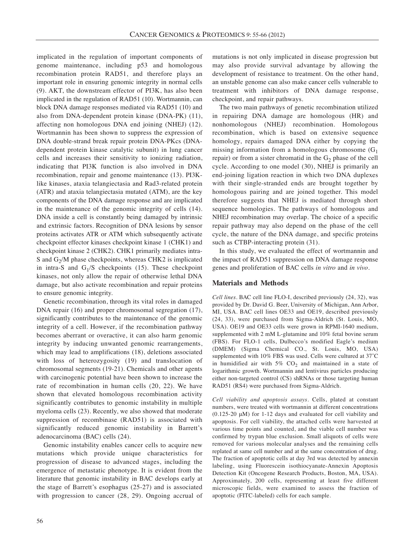implicated in the regulation of important components of genome maintenance, including p53 and homologous recombination protein RAD51, and therefore plays an important role in ensuring genomic integrity in normal cells (9). AKT, the downstream effector of PI3K, has also been implicated in the regulation of RAD51 (10). Wortmannin, can block DNA damage responses mediated via RAD51 (10) and also from DNA-dependent protein kinase (DNA-PK) (11), affecting non homologous DNA end joining (NHEJ) (12). Wortmannin has been shown to suppress the expression of DNA double-strand break repair protein DNA-PKcs (DNAdependent protein kinase catalytic subunit) in lung cancer cells and increases their sensitivity to ionizing radiation, indicating that PI3K function is also involved in DNA recombination, repair and genome maintenance (13). PI3Klike kinases, ataxia telangiectasia and Rad3-related protein (ATR) and ataxia telangiectasia mutated (ATM), are the key components of the DNA damage response and are implicated in the maintenance of the genomic integrity of cells (14). DNA inside a cell is constantly being damaged by intrinsic and extrinsic factors. Recognition of DNA lesions by sensor proteins activates ATR or ATM which subsequently activate checkpoint effector kinases checkpoint kinase 1 (CHK1) and checkpoint kinase 2 (CHK2). CHK1 primarily mediates intra-S and  $G_2/M$  phase checkpoints, whereas CHK2 is implicated in intra-S and  $G_1/S$  checkpoints (15). These checkpoint kinases, not only allow the repair of otherwise lethal DNA damage, but also activate recombination and repair proteins to ensure genomic integrity.

Genetic recombination, through its vital roles in damaged DNA repair (16) and proper chromosomal segregation (17), significantly contributes to the maintenance of the genomic integrity of a cell. However, if the recombination pathway becomes aberrant or overactive, it can also harm genomic integrity by inducing unwanted genomic rearrangements, which may lead to amplifications (18), deletions associated with loss of heterozygosity (19) and translocation of chromosomal segments (19-21). Chemicals and other agents with carcinogenic potential have been shown to increase the rate of recombination in human cells (20, 22). We have shown that elevated homologous recombination activity significantly contributes to genomic instability in multiple myeloma cells (23). Recently, we also showed that moderate suppression of recombinase (RAD51) is associated with significantly reduced genomic instability in Barrett's adenocarcinoma (BAC) cells (24).

Genomic instability enables cancer cells to acquire new mutations which provide unique characteristics for progression of disease to advanced stages, including the emergence of metastatic phenotype. It is evident from the literature that genomic instability in BAC develops early at the stage of Barrett's esophagus (25-27) and is associated with progression to cancer (28, 29). Ongoing accrual of mutations is not only implicated in disease progression but may also provide survival advantage by allowing the development of resistance to treatment. On the other hand, an unstable genome can also make cancer cells vulnerable to treatment with inhibitors of DNA damage response, checkpoint, and repair pathways.

The two main pathways of genetic recombination utilized in repairing DNA damage are homologous (HR) and nonhomologous (NHEJ) recombination. Homologous recombination, which is based on extensive sequence homology, repairs damaged DNA either by copying the missing information from a homologous chromosome  $(G_1)$ repair) or from a sister chromatid in the  $G<sub>2</sub>$  phase of the cell cycle. According to one model (30), NHEJ is primarily an end-joining ligation reaction in which two DNA duplexes with their single-stranded ends are brought together by homologous pairing and are joined together. This model therefore suggests that NHEJ is mediated through short sequence homologies. The pathways of homologous and NHEJ recombination may overlap. The choice of a specific repair pathway may also depend on the phase of the cell cycle, the nature of the DNA damage, and specific proteins such as CTBP-interacting protein (31).

In this study, we evaluated the effect of wortmannin and the impact of RAD51 suppression on DNA damage response genes and proliferation of BAC cells *in vitro* and *in vivo*.

#### **Materials and Methods**

*Cell lines.* BAC cell line FLO-I, described previously (24, 32), was provided by Dr. David G. Beer, University of Michigan, Ann Arbor, MI, USA. BAC cell lines OE33 and OE19, described previously (24, 33), were purchased from Sigma-Aldrich (St. Louis, MO, USA). OE19 and OE33 cells were grown in RPMI-1640 medium, supplemented with 2 mM L-glutamine and 10% fetal bovine serum (FBS). For FLO-1 cells, Dulbecco's modified Eagle's medium (DMEM) (Sigma Chemical CO., St. Louis, MO, USA) supplemented with 10% FBS was used. Cells were cultured at 37˚C in humidified air with  $5\%$  CO<sub>2</sub> and maintained in a state of logarithmic growth. Wortmannin and lentivirus particles producing either non-targeted control (CS) shRNAs or those targeting human RAD51 (RS4) were purchased from Sigma-Aldrich.

*Cell viability and apoptosis assays.* Cells, plated at constant numbers, were treated with wortmannin at different concentrations (0.125-20 μM) for 1-12 days and evaluated for cell viability and apoptosis. For cell viability, the attached cells were harvested at various time points and counted, and the viable cell number was confirmed by trypan blue exclusion. Small aliquots of cells were removed for various molecular analyses and the remaining cells replated at same cell number and at the same concentration of drug. The fraction of apoptotic cells at day 3rd was detected by annexin labeling, using Fluorescein isothiocyanate-Annexin Apoptosis Detection Kit (Oncogene Research Products, Boston, MA, USA). Approximately, 200 cells, representing at least five different microscopic fields, were examined to assess the fraction of apoptotic (FITC-labeled) cells for each sample.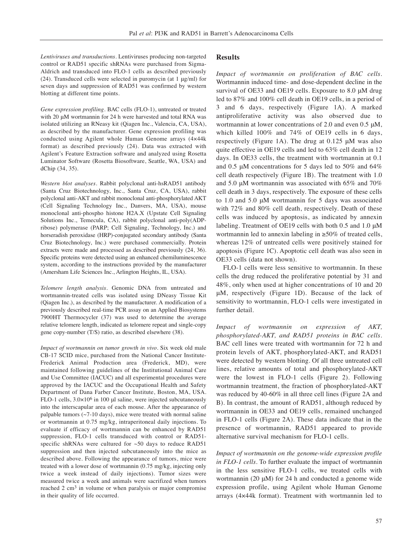*Lentiviruses and transductions.* Lentiviruses producing non-targeted control or RAD51 specific shRNAs were purchased from Sigma-Aldrich and transduced into FLO-1 cells as described previously (24). Transduced cells were selected in puromycin (at 1 μg/ml) for seven days and suppression of RAD51 was confirmed by western blotting at different time points.

*Gene expression profiling*. BAC cells (FLO-1), untreated or treated with 20 μM wortmannin for 24 h were harvested and total RNA was isolated utilizing an RNeasy kit (Qiagen Inc., Valencia, CA, USA), as described by the manufacturer. Gene expression profiling was conducted using Agilent whole Human Genome arrays (4×44k format) as described previously (24). Data was extracted with Agilent's Feature Extraction software and analyzed using Rosetta Luminator Software (Rosetta Biosoftware, Seattle, WA, USA) and dChip (34, 35).

*Western blot analyses.* Rabbit polyclonal anti-hsRAD51 antibody (Santa Cruz Biotechnology, Inc., Santa Cruz, CA, USA), rabbit polyclonal anti-AKT and rabbit monoclonal anti-phosphorylated AKT (Cell Signaling Technology Inc., Danvers, MA, USA), mouse monoclonal anti-phospho histone H2A.X (Upstate Cell Signaling Solutions Inc., Temecula, CA), rabbit polyclonal anti-poly(ADPribose) polymerase (PARP; Cell Signaling, Technology, Inc.) and horseradish peroxidase (HRP)-conjugated secondary antibody (Santa Cruz Biotechnology, Inc.) were purchased commercially. Protein extracts were made and processed as described previously (24, 36). Specific proteins were detected using an enhanced chemiluminescence system, according to the instructions provided by the manufacturer (Amersham Life Sciences Inc., Arlington Heights, IL, USA).

*Telomere length analysis*. Genomic DNA from untreated and wortmannin-treated cells was isolated using DNeasy Tissue Kit (Qiagen Inc.), as described by the manufacturer. A modification of a previously described real-time PCR assay on an Applied Biosystems 7900HT Thermocycler (37) was used to determine the average relative telomere length, indicated as telomere repeat and single-copy gene copy-number (T/S) ratio, as described elsewhere (38).

*Impact of wortmannin on tumor growth in vivo.* Six week old male CB-17 SCID mice, purchased from the National Cancer Institute-Frederick Animal Production area (Frederick, MD), were maintained following guidelines of the Institutional Animal Care and Use Committee (IACUC) and all experimental procedures were approved by the IACUC and the Occupational Health and Safety Department of Dana Farber Cancer Institute, Boston, MA, USA. FLO-1 cells,  $3.0 \times 10^6$  in 100  $\mu$ l saline, were injected subcutaneously into the interscapular area of each mouse. After the appearance of palpable tumors  $(\sim 7-10 \text{ days})$ , mice were treated with normal saline or wortmannin at 0.75 mg/kg, intraperitoneal daily injections. To evaluate if efficacy of wortmannin can be enhanced by RAD51 suppression, FLO-1 cells transduced with control or RAD51 specific shRNAs were cultured for ~50 days to reduce RAD51 suppression and then injected subcutaneously into the mice as described above. Following the appearance of tumors, mice were treated with a lower dose of wortmannin (0.75 mg/kg, injecting only twice a week instead of daily injections). Tumor sizes were measured twice a week and animals were sacrifized when tumors reached 2 cm<sup>3</sup> in volume or when paralysis or major compromise in their quality of life occurred.

## **Results**

*Impact of wortmannin on proliferation of BAC cells.* Wortmannin induced time- and dose-dependent decline in the survival of OE33 and OE19 cells. Exposure to 8.0 μM drug led to 87% and 100% cell death in OE19 cells, in a period of 3 and 6 days, respectively (Figure 1A). A marked antiproliferative activity was also observed due to wortmannin at lower concentrations of 2.0 and even 0.5 μM, which killed 100% and 74% of OE19 cells in 6 days, respectively (Figure 1A). The drug at 0.125 μM was also quite effective in OE19 cells and led to 63% cell death in 12 days. In OE33 cells, the treatment with wortmannin at 0.1 and 0.5 μM concentrations for 5 days led to 50% and 64% cell death respectively (Figure 1B). The treatment with 1.0 and 5.0 μM wortmannin was associated with 65% and 70% cell death in 3 days, respectively. The exposure of these cells to 1.0 and 5.0 μM wortmannin for 5 days was associated with 72% and 80% cell death, respectively. Death of these cells was induced by apoptosis, as indicated by annexin labeling. Treatment of OE19 cells with both 0.5 and 1.0 μM wortmannin led to annexin labeling in ≥50% of treated cells, whereas 12% of untreated cells were positively stained for apoptosis (Figure 1C). Apoptotic cell death was also seen in OE33 cells (data not shown).

FLO-1 cells were less sensitive to wortmannin. In these cells the drug reduced the proliferative potential by 31 and 48%, only when used at higher concentrations of 10 and 20 μM, respectively (Figure 1D). Because of the lack of sensitivity to wortmannin, FLO-1 cells were investigated in further detail.

*Impact of wortmannin on expression of AKT, phosphorylated-AKT, and RAD51 proteins in BAC cells.* BAC cell lines were treated with wortmannin for 72 h and protein levels of AKT, phosphorylated-AKT, and RAD51 were detected by western blotting. Of all three untreated cell lines, relative amounts of total and phosphorylated-AKT were the lowest in FLO-1 cells (Figure 2). Following wortmannin treatment, the fraction of phosphorylated-AKT was reduced by 40-60% in all three cell lines (Figure 2A and B). In contrast, the amount of RAD51, although reduced by wortmannin in OE33 and OE19 cells, remained unchanged in FLO-1 cells (Figure 2A). These data indicate that in the presence of wortmannin, RAD51 appeared to provide alternative survival mechanism for FLO-1 cells.

*Impact of wortmannin on the genome-wide expression profile in FLO-1 cells.* To further evaluate the impact of wortmannin in the less sensitive FLO-1 cells, we treated cells with wortmannin (20 μM) for 24 h and conducted a genome wide expression profile, using Agilent whole Human Genome arrays (4×44k format). Treatment with wortmannin led to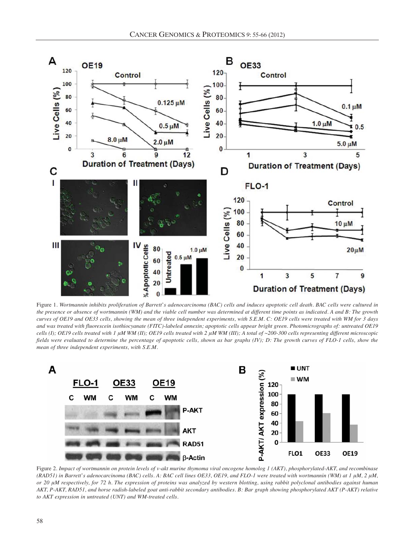

Figure 1. *Wortmannin inhibits proliferation of Barrett*'*s adenocarcinoma (BAC) cells and induces apoptotic cell death. BAC cells were cultured in the presence or absence of wortmannin (WM) and the viable cell number was determined at different time points as indicated. A and B: The growth curves of OE19 and OE33 cells, showing the mean of three independent experiments, with S.E.M. C: OE19 cells were treated with WM for 3 days and was treated with fluorescein isothiocyanate (FITC)-labeled annexin; apoptotic cells appear bright green. Photomicrographs of: untreated OE19 cells (I); OE19 cells treated with 1 μM WM (II); OE19 cells treated with 2 μM WM (III); A total of ~200-300 cells representing different microscopic fields were evaluated to determine the percentage of apoptotic cells, shown as bar graphs (IV); D: The growth curves of FLO-1 cells, show the mean of three independent experiments, with S.E.M.*



Figure 2. *Impact of wortmannin on protein levels of v-akt murine thymoma viral oncogene homolog 1 (AKT), phosphorylated-AKT, and recombinase (RAD51) in Barrett*'*s adenocarcinoma (BAC) cells. A: BAC cell lines OE33, OE19, and FLO-1 were treated with wortmannin (WM) at 1 μM, 2 μM, or 20 μM respectively, for 72 h. The expression of proteins was analyzed by western blotting, using rabbit polyclonal antibodies against human AKT, P-AKT, RAD51, and horse radish-labeled goat anti-rabbit secondary antibodies. B: Bar graph showing phosphorylated AKT (P-AKT) relative to AKT expression in untreated (UNT) and WM-treated cells.*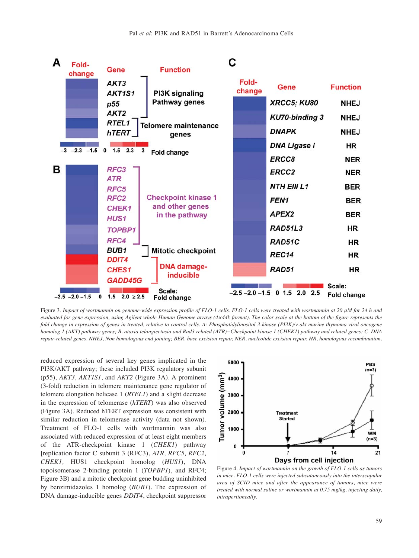

Figure 3. *Impact of wortmannin on genome-wide expression profile of FLO-1 cells. FLO-1 cells were treated with wortmannin at 20 μM for 24 h and evaluated for gene expression, using Agilent whole Human Genome arrays (4×44k format). The color scale at the bottom of the figure represents the fold change in expression of genes in treated, relative to control cells. A: Phosphatidylinositol 3-kinase (PI3K)/v-akt murine thymoma viral oncogene homolog 1 (AKT) pathway genes; B. ataxia telangiectasia and Rad3 related (ATR)−Checkpoint kinase 1 (CHEK1) pathway and related genes; C. DNA repair-related genes. NHEJ, Non homologous end joining; BER, base excision repair, NER, nucleotide excision repair, HR, homologous recombination.* 

reduced expression of several key genes implicated in the PI3K/AKT pathway; these included PI3K regulatory subunit (p55), *AKT3, AKT1S1*, and *AKT2* (Figure 3A). A prominent (3-fold) reduction in telomere maintenance gene regulator of telomere elongation helicase 1 (*RTEL1*) and a slight decrease in the expression of telomerase (*hTERT*) was also observed (Figure 3A). Reduced hTERT expression was consistent with similar reduction in telomerase activity (data not shown). Treatment of FLO-1 cells with wortmannin was also associated with reduced expression of at least eight members of the ATR-checkpoint kinase 1 (*CHEK1*) pathway [replication factor C subunit 3 (RFC3), *ATR, RFC5, RFC2, CHEK1,* HUS1 checkpoint homolog (*HUS1*), DNA topoisomerase 2-binding protein 1 (*TOPBP1*), and RFC4; Figure 3B) and a mitotic checkpoint gene budding uninhibited by benzimidazoles 1 homolog (*BUB1*). The expression of DNA damage-inducible genes *DDIT4*, checkpoint suppressor



Figure 4. *Impact of wortmannin on the growth of FLO-1 cells as tumors in mice. FLO-1 cells were injected subcutaneously into the interscapular area of SCID mice and after the appearance of tumors, mice were treated with normal saline or wortmannin at 0.75 mg/kg, injecting daily, intraperitoneally.*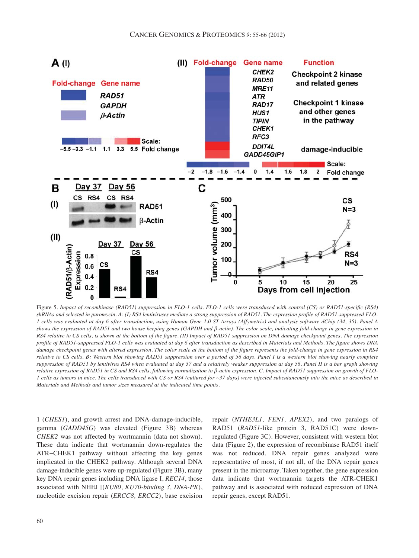

Figure 5*. Impact of recombinase (RAD51) suppression in FLO-1 cells. FLO-1 cells were transduced with control (CS) or RAD51-specific (RS4) shRNAs and selected in puromycin. A: (I) RS4 lentiviruses mediate a strong suppression of RAD51. The expression profile of RAD51-suppressed FLO-1 cells was evaluated at day 6 after transduction, using Human Gene 1.0 ST Arrays (Affymetrix) and analysis software dChip (34, 35). Panel A shows the expression of RAD51 and two house keeping genes (GAPDH and β-actin). The color scale, indicating fold-change in gene expression in RS4 relative to CS cells, is shown at the bottom of the figure. (II) Impact of RAD51 suppression on DNA damage checkpoint genes. The expression profile of RAD51-suppressed FLO-1 cells was evaluated at day 6 after transduction as described in Materials and Methods. The figure shows DNA damage checkpoint genes with altered expression. The color scale at the bottom of the figure represents the fold-change in gene expression in RS4 relative to CS cells. B: Western blot showing RAD51 suppression over a period of 56 days. Panel I is a western blot showing nearly complete suppression of RAD51 by lentivirus RS4 when evaluated at day 37 and a relatively weaker suppression at day 56. Panel II is a bar graph showing relative expression of RAD51 in CS and RS4 cells, following normalization to β-actin expression. C. Impact of RAD51 suppression on growth of FLO-1 cells as tumors in mice. The cells transduced with CS or RS4 (cultured for ~37 days) were injected subcutaneously into the mice as described in Materials and Methods and tumor sizes measured at the indicated time points.* 

1 (*CHES1*), and growth arrest and DNA-damage-inducible, gamma (*GADD45G*) was elevated (Figure 3B) whereas *CHEK2* was not affected by wortmannin (data not shown). These data indicate that wortmannin down-regulates the ATR−CHEK1 pathway without affecting the key genes implicated in the CHEK2 pathway. Although several DNA damage-inducible genes were up-regulated (Figure 3B), many key DNA repair genes including DNA ligase I, *REC14*, those associated with NHEJ [(*KU80*, *KU70-binding 3, DNA-PK*), nucleotide excision repair (*ERCC8, ERCC2*), base excision repair (*NTHE3L1, FEN1, APEX2*), and two paralogs of RAD51 (*RAD51*-like protein 3, RAD51C) were downregulated (Figure 3C). However, consistent with western blot data (Figure 2), the expression of recombinase RAD51 itself was not reduced. DNA repair genes analyzed were representative of most, if not all, of the DNA repair genes present in the microarray. Taken together, the gene expression data indicate that wortmannin targets the ATR-CHEK1 pathway and is associated with reduced expression of DNA repair genes, except RAD51.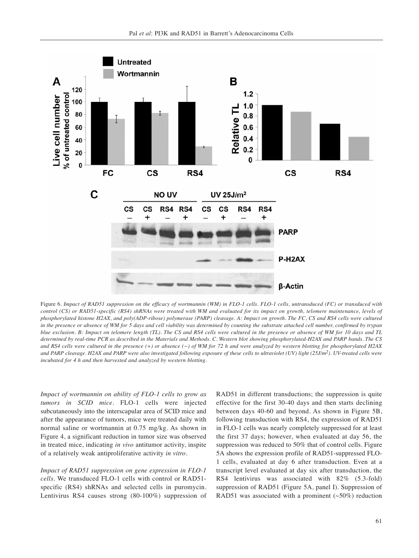

Figure 6*. Impact of RAD51 suppression on the efficacy of wortmannin (WM) in FLO-1 cells. FLO-1 cells, untransduced (FC) or transduced with control (CS) or RAD51-specific (RS4) shRNAs were treated with WM and evaluated for its impact on growth, telomere maintenance, levels of phosphorylated histone H2AX, and poly(ADP-ribose) polymerase (PARP) cleavage. A: Impact on growth. The FC, CS and RS4 cells were cultured in the presence or absence of WM for 5 days and cell viability was determined by counting the substrate attached cell number, confirmed by trypan blue exclusion. B: Impact on telomere length (TL). The CS and RS4 cells were cultured in the presence or absence of WM for 10 days and TL determined by real-time PCR as described in the Materials and Methods. C. Western blot showing phosphorylated-H2AX and PARP bands. The CS and RS4 cells were cultured in the presence (+) or absence (−) of WM for 72 h and were analyzed by western blotting for phosphorylated H2AX and PARP cleavage. H2AX and PARP were also investigated following exposure of these cells to ultraviolet (UV) light (25J/m2). UV-treated cells were incubated for 4 h and then harvested and analyzed by western blotting.* 

*Impact of wortmannin on ability of FLO-1 cells to grow as tumors in SCID mice.* FLO-1 cells were injected subcutaneously into the interscapular area of SCID mice and after the appearance of tumors, mice were treated daily with normal saline or wortmannin at 0.75 mg/kg. As shown in Figure 4, a significant reduction in tumor size was observed in treated mice, indicating *in vivo* antitumor activity, inspite of a relatively weak antiproliferative activity *in vitro*.

*Impact of RAD51 suppression on gene expression in FLO-1 cells.* We transduced FLO-1 cells with control or RAD51 specific (RS4) shRNAs and selected cells in puromycin. Lentivirus RS4 causes strong (80-100%) suppression of

RAD51 in different transductions; the suppression is quite effective for the first 30-40 days and then starts declining between days 40-60 and beyond. As shown in Figure 5B, following transduction with RS4, the expression of RAD51 in FLO-1 cells was nearly completely suppressed for at least the first 37 days; however, when evaluated at day 56, the suppression was reduced to 50% that of control cells. Figure 5A shows the expression profile of RAD51-suppressed FLO-1 cells, evaluated at day 6 after transduction. Even at a transcript level evaluated at day six after transduction, the RS4 lentivirus was associated with 82% (5.3-fold) suppression of RAD51 (Figure 5A, panel I). Suppression of RAD51 was associated with a prominent  $(\sim 50\%)$  reduction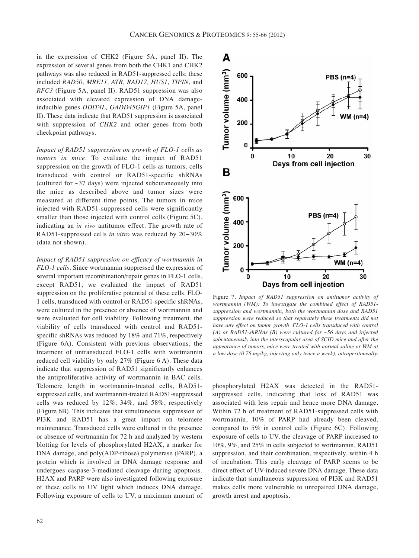in the expression of CHK2 (Figure 5A, panel II). The expression of several genes from both the CHK1 and CHK2 pathways was also reduced in RAD51-suppressed cells; these included *RAD50, MRE11, ATR, RAD17, HUS1, TIPIN*, and *RFC3* (Figure 5A, panel II). RAD51 suppression was also associated with elevated expression of DNA damageinducible genes *DDIT4L, GADD45GIP1* (Figure 5A, panel II). These data indicate that RAD51 suppression is associated with suppression of *CHK2* and other genes from both checkpoint pathways.

*Impact of RAD51 suppression on growth of FLO-1 cells as tumors in mice.* To evaluate the impact of RAD51 suppression on the growth of FLO-1 cells as tumors, cells transduced with control or RAD51-specific shRNAs (cultured for  $\sim$ 37 days) were injected subcutaneously into the mice as described above and tumor sizes were measured at different time points. The tumors in mice injected with RAD51-suppressed cells were significantly smaller than those injected with control cells (Figure 5C), indicating an *in vivo* antitumor effect. The growth rate of RAD51-suppressed cells *in vitro* was reduced by 20−30% (data not shown).

*Impact of RAD51 suppression on efficacy of wortmannin in FLO-1 cells.* Since wortmannin suppressed the expression of several important recombination/repair genes in FLO-1 cells, except RAD51, we evaluated the impact of RAD51 suppression on the proliferative potential of these cells. FLO-1 cells, transduced with control or RAD51-specific shRNAs, were cultured in the presence or absence of wortmannin and were evaluated for cell viability. Following treatment, the viability of cells transduced with control and RAD51 specific shRNAs was reduced by 18% and 71%, respectively (Figure 6A). Consistent with previous observations, the treatment of untransduced FLO-1 cells with wortmannin reduced cell viability by only 27% (Figure 6 A). These data indicate that suppression of RAD51 significantly enhances the antiproliferative activity of wortmannin in BAC cells. Telomere length in wortmannin-treated cells, RAD51 suppressed cells, and wortmannin-treated RAD51-suppressed cells was reduced by 12%, 34%, and 58%, respectively (Figure 6B). This indicates that simultaneous suppression of PI3K and RAD51 has a great impact on telomere maintenance. Transduced cells were cultured in the presence or absence of wortmannin for 72 h and analyzed by western blotting for levels of phosphorylated H2AX, a marker for DNA damage, and poly(ADP-ribose) polymerase (PARP), a protein which is involved in DNA damage response and undergoes caspase-3-mediated cleavage during apoptosis. H2AX and PARP were also investigated following exposure of these cells to UV light which induces DNA damage. Following exposure of cells to UV, a maximum amount of





Figure 7. *Impact of RAD51 suppression on antitumor activity of wortmannin (WM): To investigate the combined effect of RAD51 suppression and wortmannin, both the wortmannin dose and RAD51 suppression were reduced so that separately these treatments did not have any effect on tumor growth. FLO-1 cells transduced with control (A) or RAD51-shRNAs (B) were cultured for* ~*56 days and injected subcutaneously into the interscapular area of SCID mice and after the appearance of tumors, mice were treated with normal saline or WM at a low dose (0.75 mg/kg, injecting only twice a week), intraperitoneally.*

phosphorylated H2AX was detected in the RAD51 suppressed cells, indicating that loss of RAD51 was associated with less repair and hence more DNA damage. Within 72 h of treatment of RAD51-suppressed cells with wortmannin, 10% of PARP had already been cleaved, compared to 5% in control cells (Figure 6C). Following exposure of cells to UV, the cleavage of PARP increased to 10%, 9%, and 25% in cells subjected to wortmannin, RAD51 suppression, and their combination, respectively, within 4 h of incubation. This early cleavage of PARP seems to be direct effect of UV-induced severe DNA damage. These data indicate that simultaneous suppression of PI3K and RAD51 makes cells more vulnerable to unrepaired DNA damage, growth arrest and apoptosis.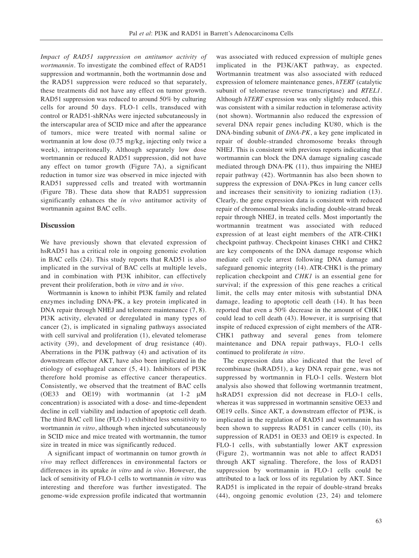*Impact of RAD51 suppression on antitumor activity of wortmannin.* To investigate the combined effect of RAD51 suppression and wortmannin, both the wortmannin dose and the RAD51 suppression were reduced so that separately, these treatments did not have any effect on tumor growth. RAD51 suppression was reduced to around 50% by culturing cells for around 50 days. FLO-1 cells, transduced with control or RAD51-shRNAs were injected subcutaneously in the interscapular area of SCID mice and after the appearance of tumors, mice were treated with normal saline or wortmannin at low dose (0.75 mg/kg, injecting only twice a week), intraperitoneally. Although separately low dose wortmannin or reduced RAD51 suppression, did not have any effect on tumor growth (Figure 7A), a significant reduction in tumor size was observed in mice injected with RAD51 suppressed cells and treated with wortmannin (Figure 7B). These data show that RAD51 suppression significantly enhances the *in vivo* antitumor activity of wortmannin against BAC cells.

## **Discussion**

We have previously shown that elevated expression of hsRAD51 has a critical role in ongoing genomic evolution in BAC cells (24). This study reports that RAD51 is also implicated in the survival of BAC cells at multiple levels, and in combination with PI3K inhibitor, can effectively prevent their proliferation, both *in vitro* and *in vivo*.

Wortmannin is known to inhibit PI3K family and related enzymes including DNA-PK, a key protein implicated in DNA repair through NHEJ and telomere maintenance  $(7, 8)$ . PI3K activity, elevated or deregulated in many types of cancer (2), is implicated in signaling pathways associated with cell survival and proliferation (1), elevated telomerase activity (39), and development of drug resistance (40). Aberrations in the PI3K pathway (4) and activation of its downstream effector AKT, have also been implicated in the etiology of esophageal cancer (5, 41). Inhibitors of PI3K therefore hold promise as effective cancer therapeutics. Consistently, we observed that the treatment of BAC cells (OE33 and OE19) with wortmannin (at 1-2 μM concentration) is associated with a dose- and time-dependent decline in cell viability and induction of apoptotic cell death. The third BAC cell line (FLO-1) exhibited less sensitivity to wortmannin *in vitro*, although when injected subcutaneously in SCID mice and mice treated with wortmannin, the tumor size in treated in mice was significantly reduced.

A significant impact of wortmannin on tumor growth *in vivo* may reflect differences in environmental factors or differences in its uptake *in vitro* and *in vivo*. However, the lack of sensitivity of FLO-1 cells to wortmannin *in vitro* was interesting and therefore was further investigated. The genome-wide expression profile indicated that wortmannin

was associated with reduced expression of multiple genes implicated in the PI3K/AKT pathway, as expected. Wortmannin treatment was also associated with reduced expression of telomere maintenance genes, *hTERT* (catalytic subunit of telomerase reverse transcriptase) and *RTEL1*. Although *hTERT* expression was only slightly reduced, this was consistent with a similar reduction in telomerase activity (not shown). Wortmannin also reduced the expression of several DNA repair genes including KU80, which is the DNA-binding subunit of *DNA-PK*, a key gene implicated in repair of double-stranded chromosome breaks through NHEJ. This is consistent with previous reports indicating that wortmannin can block the DNA damage signaling cascade mediated through DNA-PK (11), thus impairing the NHEJ repair pathway (42). Wortmannin has also been shown to suppress the expression of DNA-PKcs in lung cancer cells and increases their sensitivity to ionizing radiation (13). Clearly, the gene expression data is consistent with reduced repair of chromosomal breaks including double-strand break repair through NHEJ, in treated cells. Most importantly the wortmannin treatment was associated with reduced expression of at least eight members of the ATR-CHK1 checkpoint pathway. Checkpoint kinases CHK1 and CHK2 are key components of the DNA damage response which mediate cell cycle arrest following DNA damage and safeguard genomic integrity (14). ATR-CHK1 is the primary replication checkpoint and *CHK1* is an essential gene for survival; if the expression of this gene reaches a critical limit, the cells may enter mitosis with substantial DNA damage, leading to apoptotic cell death (14). It has been reported that even a 50% decrease in the amount of CHK1 could lead to cell death (43). However, it is surprising that inspite of reduced expression of eight members of the ATR-CHK1 pathway and several genes from telomere maintenance and DNA repair pathways, FLO-1 cells continued to proliferate *in vitro*.

The expression data also indicated that the level of recombinase (hsRAD51), a key DNA repair gene, was not suppressed by wortmannin in FLO-1 cells. Western blot analysis also showed that following wortmannin treatment, hsRAD51 expression did not decrease in FLO-1 cells, whereas it was suppressed in wortmannin sensitive OE33 and OE19 cells. Since AKT, a downstream effector of PI3K, is implicated in the regulation of RAD51 and wortmannin has been shown to suppress RAD51 in cancer cells (10), its suppression of RAD51 in OE33 and OE19 is expected. In FLO-1 cells, with substantially lower AKT expression (Figure 2), wortmannin was not able to affect RAD51 through AKT signaling. Therefore, the loss of RAD51 suppression by wortmannin in FLO-1 cells could be attributed to a lack or loss of its regulation by AKT. Since RAD51 is implicated in the repair of double-strand breaks (44), ongoing genomic evolution (23, 24) and telomere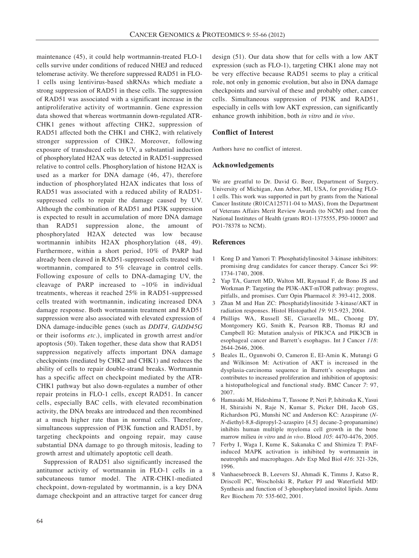maintenance (45), it could help wortmannin-treated FLO-1 cells survive under conditions of reduced NHEJ and reduced telomerase activity. We therefore suppressed RAD51 in FLO-1 cells using lentivirus-based shRNAs which mediate a strong suppression of RAD51 in these cells. The suppression of RAD51 was associated with a significant increase in the antiproliferative activity of wortmannin. Gene expression data showed that whereas wortmannin down-regulated ATR-CHK1 genes without affecting CHK2, suppression of RAD51 affected both the CHK1 and CHK2, with relatively stronger suppression of CHK2. Moreover, following exposure of transduced cells to UV, a substantial induction of phosphorylated H2AX was detected in RAD51-suppressed relative to control cells. Phosphorylation of histone H2AX is used as a marker for DNA damage (46, 47), therefore induction of phosphorylated H2AX indicates that loss of RAD51 was associated with a reduced ability of RAD51 suppressed cells to repair the damage caused by UV. Although the combination of RAD51 and PI3K suppression is expected to result in accumulation of more DNA damage than RAD51 suppression alone, the amount of phosphorylated H2AX detected was low because wortmannin inhibits H2AX phosphorylation (48, 49). Furthermore, within a short period, 10% of PARP had already been cleaved in RAD51-suppressed cells treated with wortmannin, compared to 5% cleavage in control cells. Following exposure of cells to DNA-damaging UV, the cleavage of PARP increased to  $\sim 10\%$  in individual treatments, whereas it reached 25% in RAD51-suppressed cells treated with wortmannin, indicating increased DNA damage response. Both wortmannin treatment and RAD51 suppression were also associated with elevated expression of DNA damage-inducible genes (such as *DDIT4, GADD45G* or their isoforms *etc.*), implicated in growth arrest and/or apoptosis (50). Taken together, these data show that RAD51 suppression negatively affects important DNA damage checkpoints (mediated by CHK2 and CHK1) and reduces the ability of cells to repair double-strand breaks. Wortmannin has a specific affect on checkpoint mediated by the ATR-CHK1 pathway but also down-regulates a number of other repair proteins in FLO-1 cells, except RAD51. In cancer cells, especially BAC cells, with elevated recombination activity, the DNA breaks are introduced and then recombined at a much higher rate than in normal cells. Therefore, simultaneous suppression of PI3K function and RAD51, by targeting checkpoints and ongoing repair, may cause substantial DNA damage to go through mitosis, leading to growth arrest and ultimately apoptotic cell death.

Suppression of RAD51 also significantly increased the antitumor activity of wortmannin in FLO-1 cells in a subcutaneous tumor model. The ATR-CHK1-mediated checkpoint, down-regulated by wortmannin, is a key DNA damage checkpoint and an attractive target for cancer drug design (51). Our data show that for cells with a low AKT expression (such as FLO-1), targeting CHK1 alone may not be very effective because RAD51 seems to play a critical role, not only in genomic evolution, but also in DNA damage checkpoints and survival of these and probably other, cancer cells. Simultaneous suppression of PI3K and RAD51, especially in cells with low AKT expression, can significantly enhance growth inhibition, both *in vitro* and *in vivo*.

## **Conflict of Interest**

Authors have no conflict of interest.

## **Acknowledgements**

We are greatful to Dr. David G. Beer, Department of Surgery, University of Michigan, Ann Arbor, MI, USA, for providing FLO-1 cells. This work was supported in part by grants from the National Cancer Institute (R01CA125711-04 to MAS), from the Department of Veterans Affairs Merit Review Awards (to NCM) and from the National Institutes of Health (grants RO1-1375555, P50-100007 and PO1-78378 to NCM).

## **References**

- 1 Kong D and Yamori T: Phosphatidylinositol 3-kinase inhibitors: promising drug candidates for cancer therapy. Cancer Sci *99*: 1734-1740, 2008.
- 2 Yap TA, Garrett MD, Walton MI, Raynaud F, de Bono JS and Workman P: Targeting the PI3K-AKT-mTOR pathway: progress, pitfalls, and promises. Curr Opin Pharmacol *8*: 393-412, 2008.
- 3 Zhan M and Han ZC: Phosphatidylinositide 3-kinase/AKT in radiation responses. Histol Histopathol *19*: 915-923, 2004.
- 4 Phillips WA, Russell SE, Ciavarella ML, Choong DY, Montgomery KG, Smith K, Pearson RB, Thomas RJ and Campbell IG: Mutation analysis of PIK3CA and PIK3CB in esophageal cancer and Barrett's esophagus. Int J Cancer *118*: 2644-2646, 2006.
- 5 Beales IL, Ogunwobi O, Cameron E, El-Amin K, Mutungi G and Wilkinson M: Activation of AKT is increased in the dysplasia-carcinoma sequence in Barrett's oesophagus and contributes to increased proliferation and inhibition of apoptosis: a histopathological and functional study. BMC Cancer *7*: 97, 2007.
- 6 Hamasaki M, Hideshima T, Tassone P, Neri P, Ishitsuka K, Yasui H, Shiraishi N, Raje N, Kumar S, Picker DH, Jacob GS, Richardson PG, Munshi NC and Anderson KC: Azaspirane (*N-N*-diethyl-8,8-dipropyl-2-azaspiro [4.5] decane-2-propanamine) inhibits human multiple myeloma cell growth in the bone marrow milieu *in vitro* and *in vivo*. Blood *105*: 4470-4476, 2005.
- 7 Ferby I, Waga I, Kume K, Sakanaka C and Shimizu T: PAFinduced MAPK activation is inhibited by wortmannin in neutrophils and macrophages. Adv Exp Med Biol *416*: 321-326, 1996.
- 8 Vanhaesebroeck B, Leevers SJ, Ahmadi K, Timms J, Katso R, Driscoll PC, Woscholski R, Parker PJ and Waterfield MD: Synthesis and function of 3-phosphorylated inositol lipids. Annu Rev Biochem *70*: 535-602, 2001.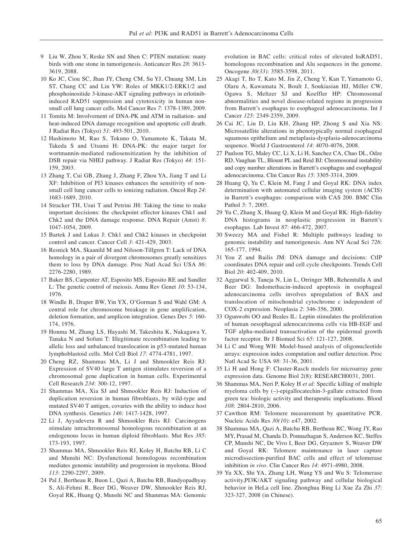- 9 Liu W, Zhou Y, Reske SN and Shen C: PTEN mutation: many birds with one stone in tumorigenesis. Anticancer Res *28*: 3613- 3619, 2088.
- 10 Ko JC, Ciou SC, Jhan JY, Cheng CM, Su YJ, Chuang SM, Lin ST, Chang CC and Lin YW: Roles of MKK1/2-ERK1/2 and phosphoinositide 3-kinase-AKT signaling pathways in erlotinibinduced RAD51 suppression and cytotoxicity in human nonsmall cell lung cancer cells. Mol Cancer Res *7*: 1378-1389, 2009.
- 11 Tomita M: Involvement of DNA-PK and ATM in radiation- and heat-induced DNA damage recognition and apoptotic cell death. J Radiat Res (Tokyo) *51*: 493-501, 2010.
- 12 Hashimoto M, Rao S, Tokuno O, Yamamoto K, Takata M, Takeda S and Utsumi H: DNA-PK: the major target for wortmannin-mediated radiosensitization by the inhibition of DSB repair via NHEJ pathway. J Radiat Res (Tokyo) *44*: 151- 159, 2003.
- 13 Zhang T, Cui GB, Zhang J, Zhang F, Zhou YA, Jiang T and Li XF: Inhibition of PI3 kinases enhances the sensitivity of nonsmall cell lung cancer cells to ionizing radiation. Oncol Rep *24*: 1683-1689, 2010.
- 14 Stracker TH, Usui T and Petrini JH: Taking the time to make important decisions: the checkpoint effector kinases Chk1 and Chk2 and the DNA damage response. DNA Repair (Amst) *8*: 1047-1054, 2009.
- 15 Bartek J and Lukas J: Chk1 and Chk2 kinases in checkpoint control and cancer. Cancer Cell *3*: 421-429, 2003.
- 16 Resnick MA, Skaanild M and Nilsson-Tillgren T: Lack of DNA homology in a pair of divergent chromosomes greatly sensitizes them to loss by DNA damage. Proc Natl Acad Sci USA *86*: 2276-2280, 1989.
- 17 Baker BS, Carpenter AT, Esposito MS, Esposito RE and Sandler L: The genetic control of meiosis. Annu Rev Genet *10*: 53-134, 1976.
- 18 Windle B, Draper BW, Yin YX, O'Gorman S and Wahl GM: A central role for chromosome breakage in gene amplification, deletion formation, and amplicon integration. Genes Dev *5*: 160- 174, 1976.
- 19 Honma M, Zhang LS, Hayashi M, Takeshita K, Nakagawa Y, Tanaka N and Sofuni T: Illegitimate recombination leading to allelic loss and unbalanced translocation in p53-mutated human lymphoblastoid cells. Mol Cell Biol *17*: 4774-4781, 1997.
- 20 Cheng RZ, Shammas MA, Li J and Shmookler Reis RJ: Expression of SV40 large T antigen stimulates reversion of a chromosomal gene duplication in human cells. Experimental Cell Research *234*: 300-12, 1997.
- 21 Shammas MA, Xia SJ and Shmookler Reis RJ: Induction of duplication reversion in human fibroblasts, by wild-type and mutated SV40 T antigen, covaries with the ability to induce host DNA synthesis. Genetics *146*: 1417-1428, 1997.
- 22 Li J, Ayyadevera R and Shmookler Reis RJ: Carcinogens stimulate intrachromosomal homologous recombination at an endogenous locus in human diploid fibroblasts. Mut Res *385*: 173-193, 1997.
- 23 Shammas MA, Shmookler Reis RJ, Koley H, Batchu RB, Li C and Munshi NC: Dysfunctional homologous recombination mediates genomic instability and progression in myeloma. Blood *113*: 2290-2297, 2009.
- 24 Pal J, Bertheau R, Buon L, Qazi A, Batchu RB, Bandyopadhyay S, Ali-Fehmi R, Beer DG, Weaver DW, Shmookler Reis RJ, Goyal RK, Huang Q, Munshi NC and Shammas MA: Genomic

evolution in BAC cells: critical roles of elevated hsRAD51, homologous recombination and Alu sequences in the genome. Oncogene *30(33)*: 3585-3598, 2011.

- 25 Akagi T, Ito T, Kato M, Jin Z, Cheng Y, Kan T, Yamamoto G, Olaru A, Kawamata N, Boult J, Soukiasian HJ, Miller CW, Ogawa S, Meltzer SJ and Koeffler HP: Chromosomal abnormalities and novel disease-related regions in progression from Barrett's esophagus to esophageal adenocarcinoma. Int J Cancer *125*: 2349-2359, 2009.
- 26 Cai JC, Liu D, Liu KH, Zhang HP, Zhong S and Xia NS: Microsatellite alterations in phenotypically normal esophageal squamous epithelium and metaplasia-dysplasia-adenocarcinoma sequence. World J Gastroenterol *14*: 4070-4076, 2008.
- 27 Paulson TG, Maley CC, Li X, Li H, Sanchez CA, Chao DL, Odze RD, Vaughan TL, Blount PL and Reid BJ: Chromosomal instability and copy number alterations in Barrett's esophagus and esophageal adenocarcinoma. Clin Cancer Res *15*: 3305-3314, 2009.
- 28 Huang Q, Yu C, Klein M, Fang J and Goyal RK: DNA index determination with automated cellular imaging system (ACIS) in Barrett's esophagus: comparison with CAS 200. BMC Clin Pathol *5*: 7, 2005.
- 29 Yu C, Zhang X, Huang Q, Klein M and Goyal RK: High-fidelity DNA histograms in neoplastic progression in Barrett's esophagus. Lab Invest *87*: 466-472, 2007.
- 30 Sweezy MA and Fishel R: Multiple pathways leading to genomic instability and tumorigenesis. Ann NY Acad Sci *726*: 165-177, 1994.
- 31 You Z and Bailis JM: DNA damage and decisions: CtIP coordinates DNA repair and cell cycle checkpoints. Trends Cell Biol *20*: 402-409, 2010.
- 32 Aggarwal S, Taneja N, Lin L, Orringer MB, Rehemtulla A and Beer DG: Indomethacin-induced apoptosis in esophageal adenocarcinoma cells involves upregulation of BAX and translocation of mitochondrial cytochrome c independent of COX-2 expression. Neoplasia *2*: 346-356, 2000.
- 33 Ogunwobi OO and Beales IL: Leptin stimulates the proliferation of human oesophageal adenocarcinoma cells via HB-EGF and TGF alpha-mediated transactivation of the epidermal growth factor receptor. Br J Biomed Sci *65*: 121-127, 2008.
- 34 Li C and Wong WH: Model-based analysis of oligonucleotide arrays: expression index computation and outlier detection. Proc Natl Acad Sc USA *98*: 31-36, 2001.
- 35 Li H and Hong F: Cluster-Rasch models for microarray gene expression data. Genome Biol 2(8): RESEARCH0031, 2001.
- 36 Shammas MA, Neri P, Koley H *et al*: Specific killing of multiple myeloma cells by (–)-epigallocatechin-3-gallate extracted from green tea: biologic activity and therapeutic implications. Blood *108*: 2804-2810, 2006.
- 37 Cawthon RM: Telomere measurement by quantitative PCR. Nucleic Acids Res *30(10)*: e47, 2002.
- 38 Shammas MA, Qazi A, Batchu RB, Bertheau RC, Wong JY, Rao MY, Prasad M, Chanda D, Ponnazhagan S, Anderson KC, Steffes CP, Munshi NC, De Vivo I, Beer DG, Gryaznov S, Weaver DW and Goyal RK: Telomere maintenance in laser capture microdissection-purified BAC cells and effect of telomerase inhibition *in vivo*. Clin Cancer Res *14*: 4971-4980, 2008.
- 39 Yu XX, Shi YA, Zhang LH, Wang YS and Wu S: Telomerase activity,PI3K/AKT signaling pathway and cellular biological behavior in HeLa cell line. Zhonghua Bing Li Xue Za Zhi *37*: 323-327, 2008 (in Chinese).